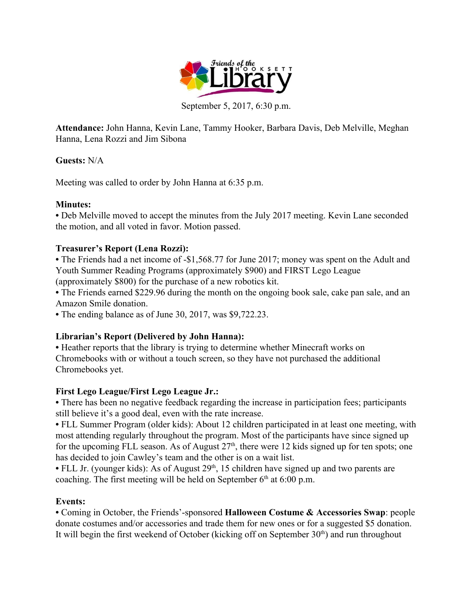

September 5, 2017, 6:30 p.m.

**Attendance:** John Hanna, Kevin Lane, Tammy Hooker, Barbara Davis, Deb Melville, Meghan Hanna, Lena Rozzi and Jim Sibona

### **Guests:** N/A

Meeting was called to order by John Hanna at 6:35 p.m.

### **Minutes:**

• Deb Melville moved to accept the minutes from the July 2017 meeting. Kevin Lane seconded the motion, and all voted in favor. Motion passed.

### **Treasurer's Report (Lena Rozzi):**

• The Friends had a net income of -\$1,568.77 for June 2017; money was spent on the Adult and Youth Summer Reading Programs (approximately \$900) and FIRST Lego League (approximately \$800) for the purchase of a new robotics kit.

• The Friends earned \$229.96 during the month on the ongoing book sale, cake pan sale, and an Amazon Smile donation.

**•** The ending balance as of June 30, 2017, was \$9,722.23.

# **Librarian's Report (Delivered by John Hanna):**

**•** Heather reports that the library is trying to determine whether Minecraft works on Chromebooks with or without a touch screen, so they have not purchased the additional Chromebooks yet.

# **First Lego League/First Lego League Jr.:**

• There has been no negative feedback regarding the increase in participation fees; participants still believe it's a good deal, even with the rate increase.

• FLL Summer Program (older kids): About 12 children participated in at least one meeting, with most attending regularly throughout the program. Most of the participants have since signed up for the upcoming FLL season. As of August  $27<sup>th</sup>$ , there were 12 kids signed up for ten spots; one has decided to join Cawley's team and the other is on a wait list.

• FLL Jr. (younger kids): As of August 29<sup>th</sup>, 15 children have signed up and two parents are coaching. The first meeting will be held on September  $6<sup>th</sup>$  at  $6:00$  p.m.

# **Events:**

**•** Coming in October, the Friends'-sponsored **Halloween Costume & Accessories Swap**: people donate costumes and/or accessories and trade them for new ones or for a suggested \$5 donation. It will begin the first weekend of October (kicking off on September 30<sup>th</sup>) and run throughout